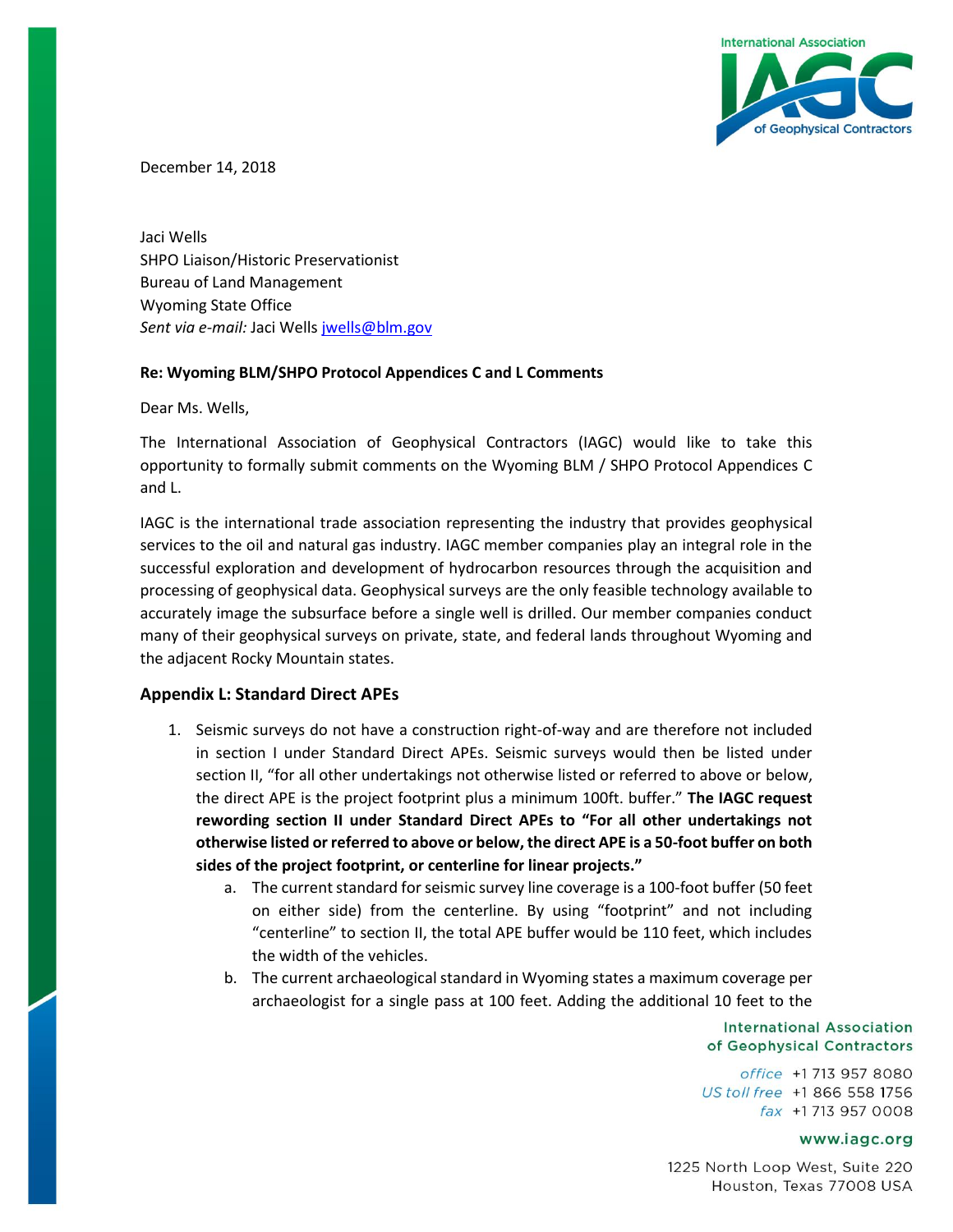

December 14, 2018

Jaci Wells SHPO Liaison/Historic Preservationist Bureau of Land Management Wyoming State Office *Sent via e-mail:* Jaci Wells <jwells@blm.gov>

## **Re: Wyoming BLM/SHPO Protocol Appendices C and L Comments**

Dear Ms. Wells,

The International Association of Geophysical Contractors (IAGC) would like to take this opportunity to formally submit comments on the Wyoming BLM / SHPO Protocol Appendices C and L.

IAGC is the international trade association representing the industry that provides geophysical services to the oil and natural gas industry. IAGC member companies play an integral role in the successful exploration and development of hydrocarbon resources through the acquisition and processing of geophysical data. Geophysical surveys are the only feasible technology available to accurately image the subsurface before a single well is drilled. Our member companies conduct many of their geophysical surveys on private, state, and federal lands throughout Wyoming and the adjacent Rocky Mountain states.

## **Appendix L: Standard Direct APEs**

- 1. Seismic surveys do not have a construction right-of-way and are therefore not included in section I under Standard Direct APEs. Seismic surveys would then be listed under section II, "for all other undertakings not otherwise listed or referred to above or below, the direct APE is the project footprint plus a minimum 100ft. buffer." **The IAGC request rewording section II under Standard Direct APEs to "For all other undertakings not otherwise listed or referred to above or below, the direct APE is a 50-foot buffer on both sides of the project footprint, or centerline for linear projects."**
	- a. The current standard for seismic survey line coverage is a 100-foot buffer (50 feet on either side) from the centerline. By using "footprint" and not including "centerline" to section II, the total APE buffer would be 110 feet, which includes the width of the vehicles.
	- b. The current archaeological standard in Wyoming states a maximum coverage per archaeologist for a single pass at 100 feet. Adding the additional 10 feet to the

**International Association** of Geophysical Contractors

office +1 713 957 8080 US toll free +1 866 558 1756 fax +1713 957 0008

## www.iagc.org

1225 North Loop West, Suite 220 Houston, Texas 77008 USA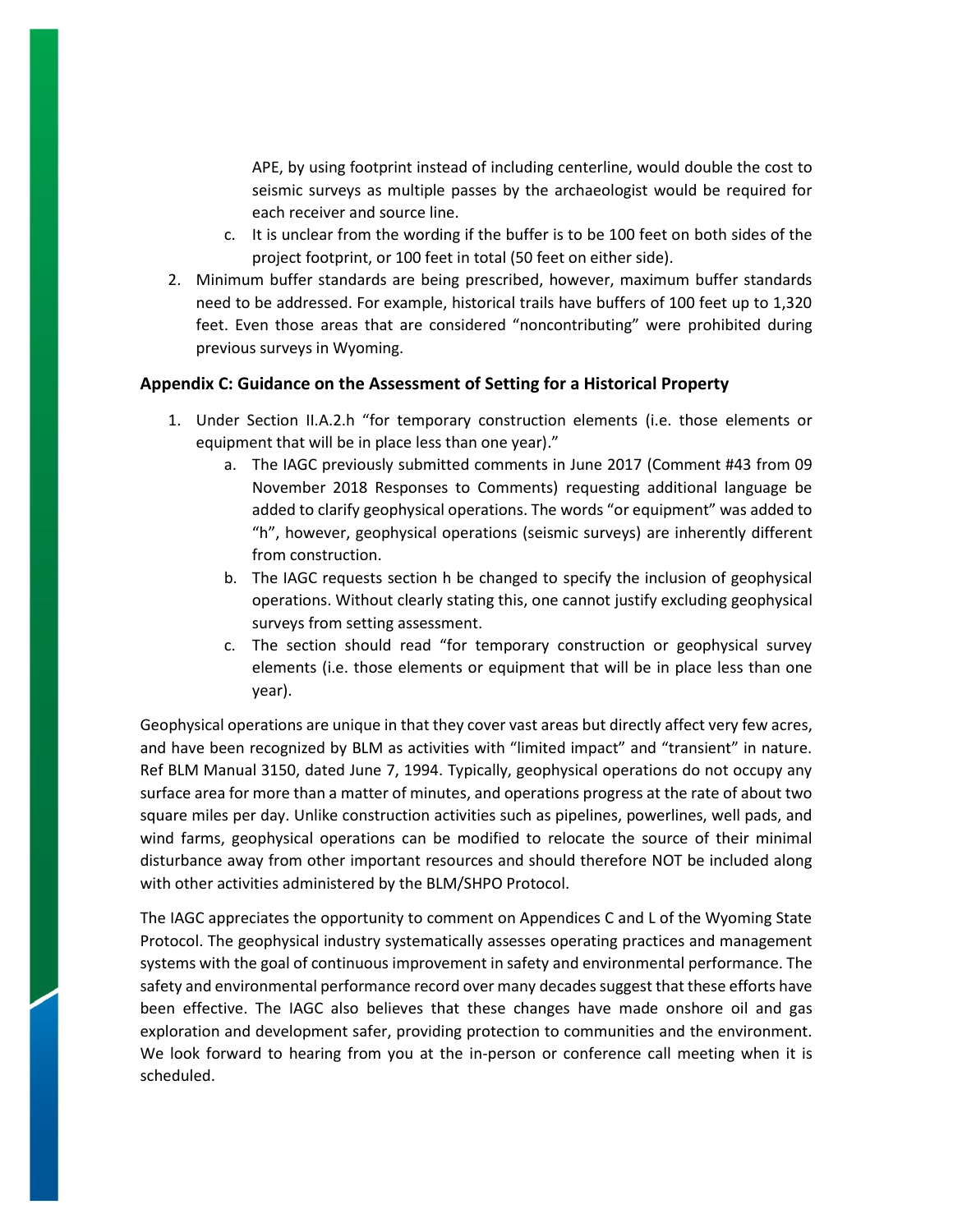APE, by using footprint instead of including centerline, would double the cost to seismic surveys as multiple passes by the archaeologist would be required for each receiver and source line.

- c. It is unclear from the wording if the buffer is to be 100 feet on both sides of the project footprint, or 100 feet in total (50 feet on either side).
- 2. Minimum buffer standards are being prescribed, however, maximum buffer standards need to be addressed. For example, historical trails have buffers of 100 feet up to 1,320 feet. Even those areas that are considered "noncontributing" were prohibited during previous surveys in Wyoming.

## **Appendix C: Guidance on the Assessment of Setting for a Historical Property**

- 1. Under Section II.A.2.h "for temporary construction elements (i.e. those elements or equipment that will be in place less than one year)."
	- a. The IAGC previously submitted comments in June 2017 (Comment #43 from 09 November 2018 Responses to Comments) requesting additional language be added to clarify geophysical operations. The words "or equipment" was added to "h", however, geophysical operations (seismic surveys) are inherently different from construction.
	- b. The IAGC requests section h be changed to specify the inclusion of geophysical operations. Without clearly stating this, one cannot justify excluding geophysical surveys from setting assessment.
	- c. The section should read "for temporary construction or geophysical survey elements (i.e. those elements or equipment that will be in place less than one year).

Geophysical operations are unique in that they cover vast areas but directly affect very few acres, and have been recognized by BLM as activities with "limited impact" and "transient" in nature. Ref BLM Manual 3150, dated June 7, 1994. Typically, geophysical operations do not occupy any surface area for more than a matter of minutes, and operations progress at the rate of about two square miles per day. Unlike construction activities such as pipelines, powerlines, well pads, and wind farms, geophysical operations can be modified to relocate the source of their minimal disturbance away from other important resources and should therefore NOT be included along with other activities administered by the BLM/SHPO Protocol.

The IAGC appreciates the opportunity to comment on Appendices C and L of the Wyoming State Protocol. The geophysical industry systematically assesses operating practices and management systems with the goal of continuous improvement in safety and environmental performance. The safety and environmental performance record over many decades suggest that these efforts have been effective. The IAGC also believes that these changes have made onshore oil and gas exploration and development safer, providing protection to communities and the environment. We look forward to hearing from you at the in-person or conference call meeting when it is scheduled.